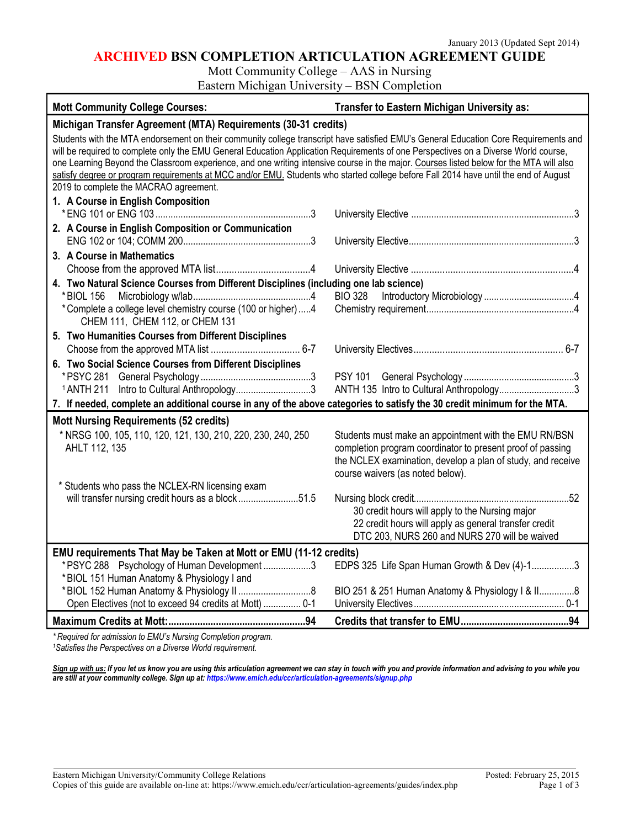## **ARCHIVED BSN COMPLETION ARTICULATION AGREEMENT GUIDE**

Mott Community College – AAS in Nursing

Eastern Michigan University – BSN Completion

| <b>Mott Community College Courses:</b>                                                                                                                                                                                                                                                                                                                                                                                                                                                                                                                                                                   | <b>Transfer to Eastern Michigan University as:</b>                                                                                                                                                                     |
|----------------------------------------------------------------------------------------------------------------------------------------------------------------------------------------------------------------------------------------------------------------------------------------------------------------------------------------------------------------------------------------------------------------------------------------------------------------------------------------------------------------------------------------------------------------------------------------------------------|------------------------------------------------------------------------------------------------------------------------------------------------------------------------------------------------------------------------|
| Michigan Transfer Agreement (MTA) Requirements (30-31 credits)                                                                                                                                                                                                                                                                                                                                                                                                                                                                                                                                           |                                                                                                                                                                                                                        |
| Students with the MTA endorsement on their community college transcript have satisfied EMU's General Education Core Requirements and<br>will be required to complete only the EMU General Education Application Requirements of one Perspectives on a Diverse World course,<br>one Learning Beyond the Classroom experience, and one writing intensive course in the major. Courses listed below for the MTA will also<br>satisfy degree or program requirements at MCC and/or EMU. Students who started college before Fall 2014 have until the end of August<br>2019 to complete the MACRAO agreement. |                                                                                                                                                                                                                        |
| 1. A Course in English Composition                                                                                                                                                                                                                                                                                                                                                                                                                                                                                                                                                                       |                                                                                                                                                                                                                        |
| 2. A Course in English Composition or Communication                                                                                                                                                                                                                                                                                                                                                                                                                                                                                                                                                      |                                                                                                                                                                                                                        |
| 3. A Course in Mathematics                                                                                                                                                                                                                                                                                                                                                                                                                                                                                                                                                                               |                                                                                                                                                                                                                        |
|                                                                                                                                                                                                                                                                                                                                                                                                                                                                                                                                                                                                          |                                                                                                                                                                                                                        |
| 4. Two Natural Science Courses from Different Disciplines (including one lab science)<br>* BIOL 156<br>*Complete a college level chemistry course (100 or higher)4<br>CHEM 111, CHEM 112, or CHEM 131                                                                                                                                                                                                                                                                                                                                                                                                    | BIO 328                                                                                                                                                                                                                |
| 5. Two Humanities Courses from Different Disciplines                                                                                                                                                                                                                                                                                                                                                                                                                                                                                                                                                     |                                                                                                                                                                                                                        |
|                                                                                                                                                                                                                                                                                                                                                                                                                                                                                                                                                                                                          |                                                                                                                                                                                                                        |
| 6. Two Social Science Courses from Different Disciplines<br><sup>1</sup> ANTH 211 Intro to Cultural Anthropology3                                                                                                                                                                                                                                                                                                                                                                                                                                                                                        | ANTH 135 Intro to Cultural Anthropology3                                                                                                                                                                               |
| 7. If needed, complete an additional course in any of the above categories to satisfy the 30 credit minimum for the MTA.                                                                                                                                                                                                                                                                                                                                                                                                                                                                                 |                                                                                                                                                                                                                        |
| <b>Mott Nursing Requirements (52 credits)</b><br>* NRSG 100, 105, 110, 120, 121, 130, 210, 220, 230, 240, 250<br>AHLT 112, 135                                                                                                                                                                                                                                                                                                                                                                                                                                                                           | Students must make an appointment with the EMU RN/BSN<br>completion program coordinator to present proof of passing<br>the NCLEX examination, develop a plan of study, and receive<br>course waivers (as noted below). |
| * Students who pass the NCLEX-RN licensing exam<br>will transfer nursing credit hours as a block51.5                                                                                                                                                                                                                                                                                                                                                                                                                                                                                                     | 30 credit hours will apply to the Nursing major<br>22 credit hours will apply as general transfer credit<br>DTC 203, NURS 260 and NURS 270 will be waived                                                              |
| EMU requirements That May be Taken at Mott or EMU (11-12 credits)                                                                                                                                                                                                                                                                                                                                                                                                                                                                                                                                        |                                                                                                                                                                                                                        |
| *PSYC 288 Psychology of Human Development3                                                                                                                                                                                                                                                                                                                                                                                                                                                                                                                                                               | EDPS 325 Life Span Human Growth & Dev (4)-13                                                                                                                                                                           |
| *BIOL 151 Human Anatomy & Physiology I and<br>Open Electives (not to exceed 94 credits at Mott)  0-1                                                                                                                                                                                                                                                                                                                                                                                                                                                                                                     | BIO 251 & 251 Human Anatomy & Physiology I & II8                                                                                                                                                                       |
|                                                                                                                                                                                                                                                                                                                                                                                                                                                                                                                                                                                                          |                                                                                                                                                                                                                        |
| * Required for admission to EMU's Nursing Completion program.                                                                                                                                                                                                                                                                                                                                                                                                                                                                                                                                            |                                                                                                                                                                                                                        |

*1Satisfies the Perspectives on a Diverse World requirement.*

*Sign up with us: If you let us know you are using this articulation agreement we can stay in touch with you and provide information and advising to you while you are still at your community college. Sign up at: https://www.emich.edu/ccr/articulation-agreements/signup.php*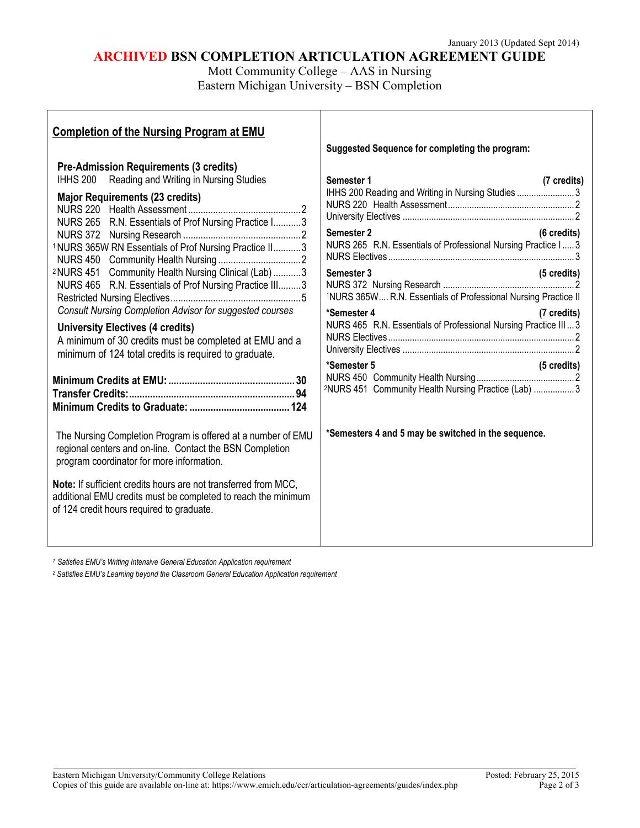# **ARCHIVED BSN COMPLETION ARTICULATION AGREEMENT GUIDE**

Mott Community College – AAS in Nursing Eastern Michigan University – BSN Completion

 $\mathsf{l}$ 

| <b>Completion of the Nursing Program at EMU</b>                                                                                                                                                                                                                                                                                                                                                                                                                                                                                                                                                                                                                                                                                                                                                                                                                                                                                                                                     |                                                                                                                                                                                                                                                                                                                                                                                                                                                                                                                                                    |
|-------------------------------------------------------------------------------------------------------------------------------------------------------------------------------------------------------------------------------------------------------------------------------------------------------------------------------------------------------------------------------------------------------------------------------------------------------------------------------------------------------------------------------------------------------------------------------------------------------------------------------------------------------------------------------------------------------------------------------------------------------------------------------------------------------------------------------------------------------------------------------------------------------------------------------------------------------------------------------------|----------------------------------------------------------------------------------------------------------------------------------------------------------------------------------------------------------------------------------------------------------------------------------------------------------------------------------------------------------------------------------------------------------------------------------------------------------------------------------------------------------------------------------------------------|
|                                                                                                                                                                                                                                                                                                                                                                                                                                                                                                                                                                                                                                                                                                                                                                                                                                                                                                                                                                                     | Suggested Sequence for completing the program:                                                                                                                                                                                                                                                                                                                                                                                                                                                                                                     |
| <b>Pre-Admission Requirements (3 credits)</b><br>IHHS 200 Reading and Writing in Nursing Studies<br><b>Major Requirements (23 credits)</b><br>NURS 265 R.N. Essentials of Prof Nursing Practice I3<br>1NURS 365W RN Essentials of Prof Nursing Practice II3<br><sup>2</sup> NURS 451 Community Health Nursing Clinical (Lab) 3<br>NURS 465 R.N. Essentials of Prof Nursing Practice III3<br><b>Consult Nursing Completion Advisor for suggested courses</b><br><b>University Electives (4 credits)</b><br>A minimum of 30 credits must be completed at EMU and a<br>minimum of 124 total credits is required to graduate.<br>The Nursing Completion Program is offered at a number of EMU<br>regional centers and on-line. Contact the BSN Completion<br>program coordinator for more information.<br>Note: If sufficient credits hours are not transferred from MCC,<br>additional EMU credits must be completed to reach the minimum<br>of 124 credit hours required to graduate. | Semester 1<br>(7 credits)<br>IHHS 200 Reading and Writing in Nursing Studies  3<br>Semester 2<br>(6 credits)<br>NURS 265 R.N. Essentials of Professional Nursing Practice I 3<br>Semester 3<br>(5 credits)<br><sup>1</sup> NURS 365W R.N. Essentials of Professional Nursing Practice II<br>*Semester 4<br>(7 credits)<br>NURS 465 R.N. Essentials of Professional Nursing Practice III 3<br>*Semester 5<br>(5 credits)<br><sup>2</sup> NURS 451 Community Health Nursing Practice (Lab)  3<br>*Semesters 4 and 5 may be switched in the sequence. |
|                                                                                                                                                                                                                                                                                                                                                                                                                                                                                                                                                                                                                                                                                                                                                                                                                                                                                                                                                                                     |                                                                                                                                                                                                                                                                                                                                                                                                                                                                                                                                                    |

*<sup>1</sup> Satisfies EMU's Writing Intensive General Education Application requirement*

Г

*<sup>2</sup> Satisfies EMU's Learning beyond the Classroom General Education Application requirement*